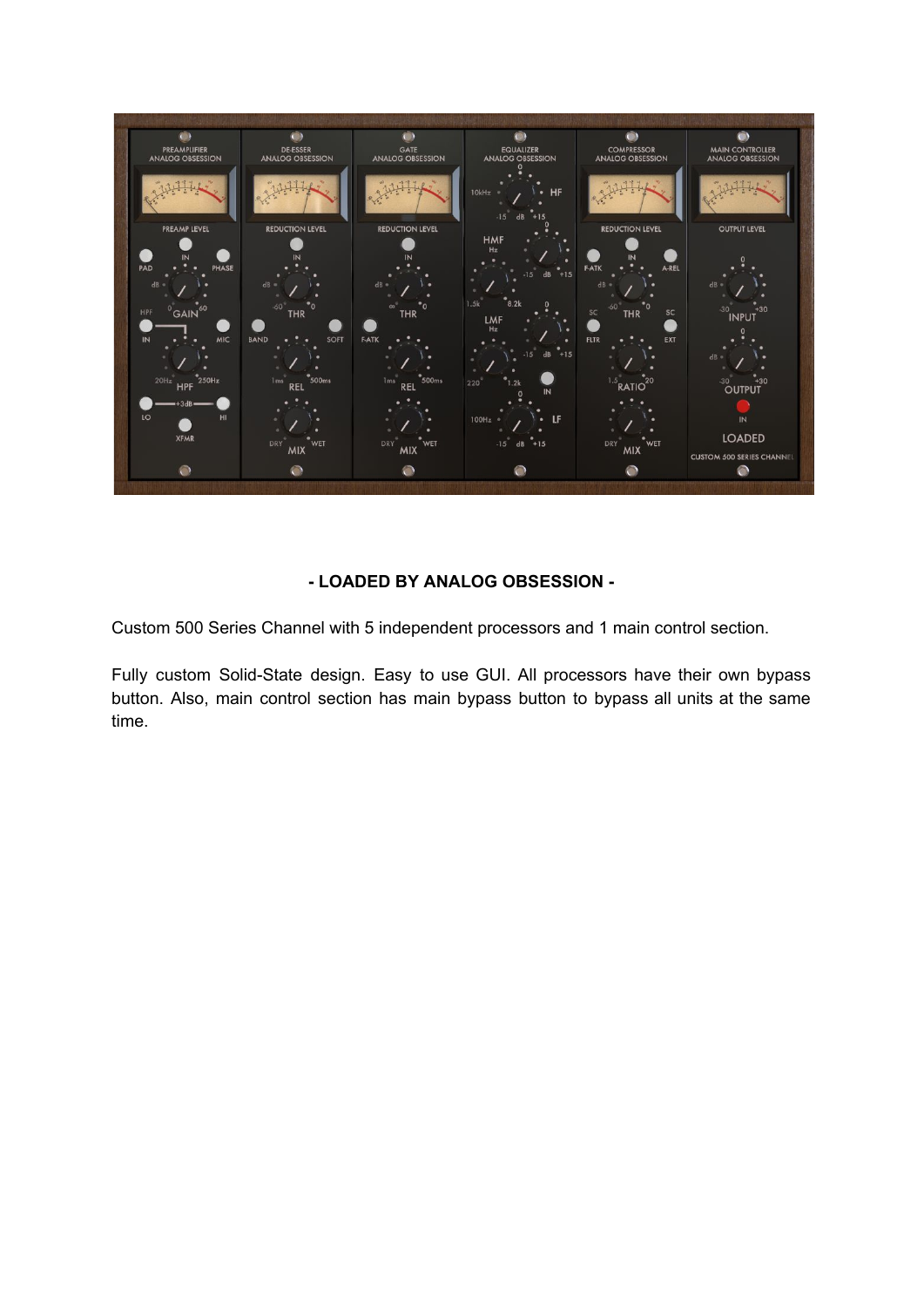

# **- LOADED BY ANALOG OBSESSION -**

Custom 500 Series Channel with 5 independent processors and 1 main control section.

Fully custom Solid-State design. Easy to use GUI. All processors have their own bypass button. Also, main control section has main bypass button to bypass all units at the same time.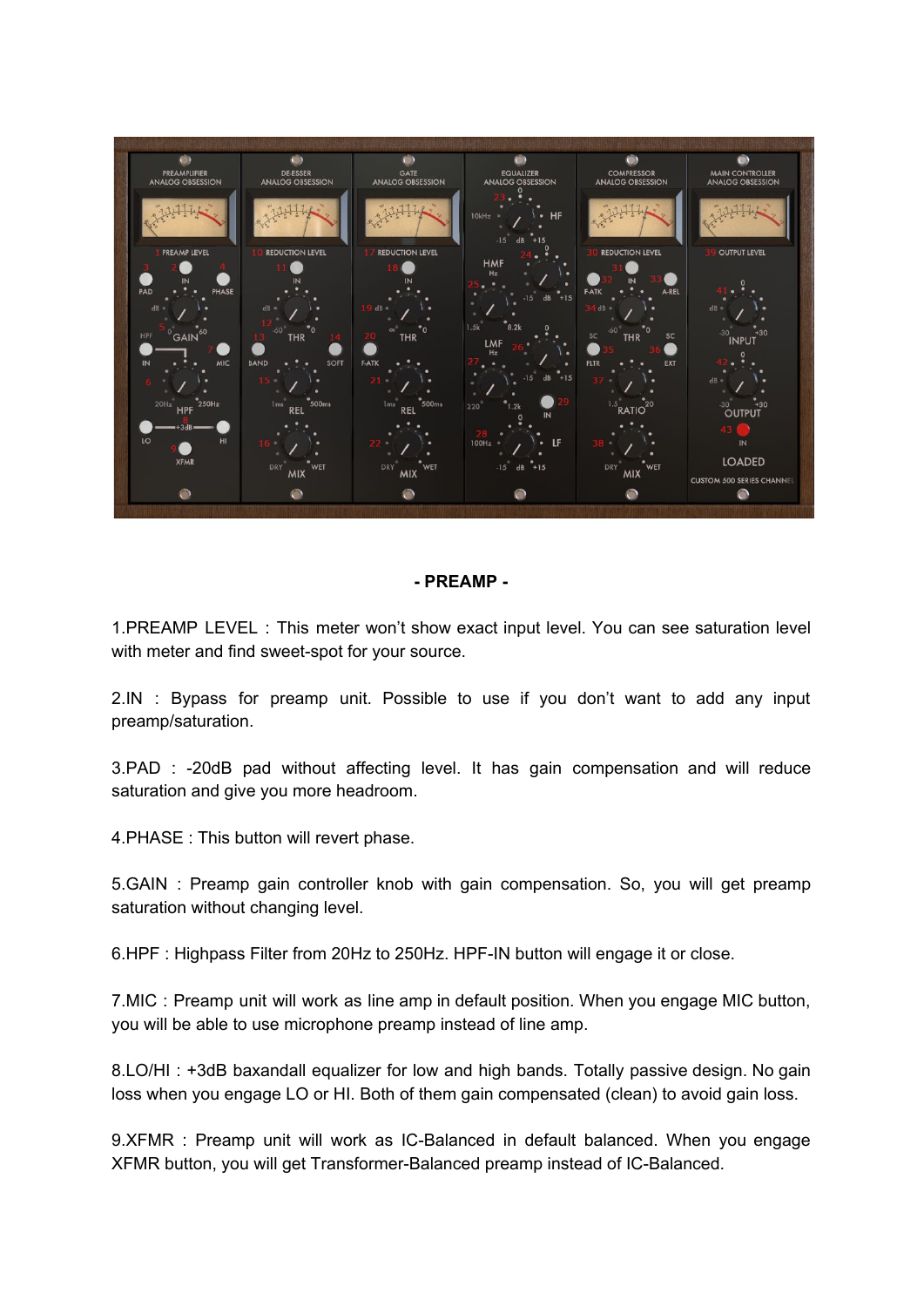

#### **- PREAMP -**

1.PREAMP LEVEL : This meter won't show exact input level. You can see saturation level with meter and find sweet-spot for your source.

2.IN : Bypass for preamp unit. Possible to use if you don't want to add any input preamp/saturation.

3.PAD : -20dB pad without affecting level. It has gain compensation and will reduce saturation and give you more headroom.

4.PHASE : This button will revert phase.

5.GAIN : Preamp gain controller knob with gain compensation. So, you will get preamp saturation without changing level.

6.HPF : Highpass Filter from 20Hz to 250Hz. HPF-IN button will engage it or close.

7.MIC : Preamp unit will work as line amp in default position. When you engage MIC button, you will be able to use microphone preamp instead of line amp.

8.LO/HI : +3dB baxandall equalizer for low and high bands. Totally passive design. No gain loss when you engage LO or HI. Both of them gain compensated (clean) to avoid gain loss.

9.XFMR : Preamp unit will work as IC-Balanced in default balanced. When you engage XFMR button, you will get Transformer-Balanced preamp instead of IC-Balanced.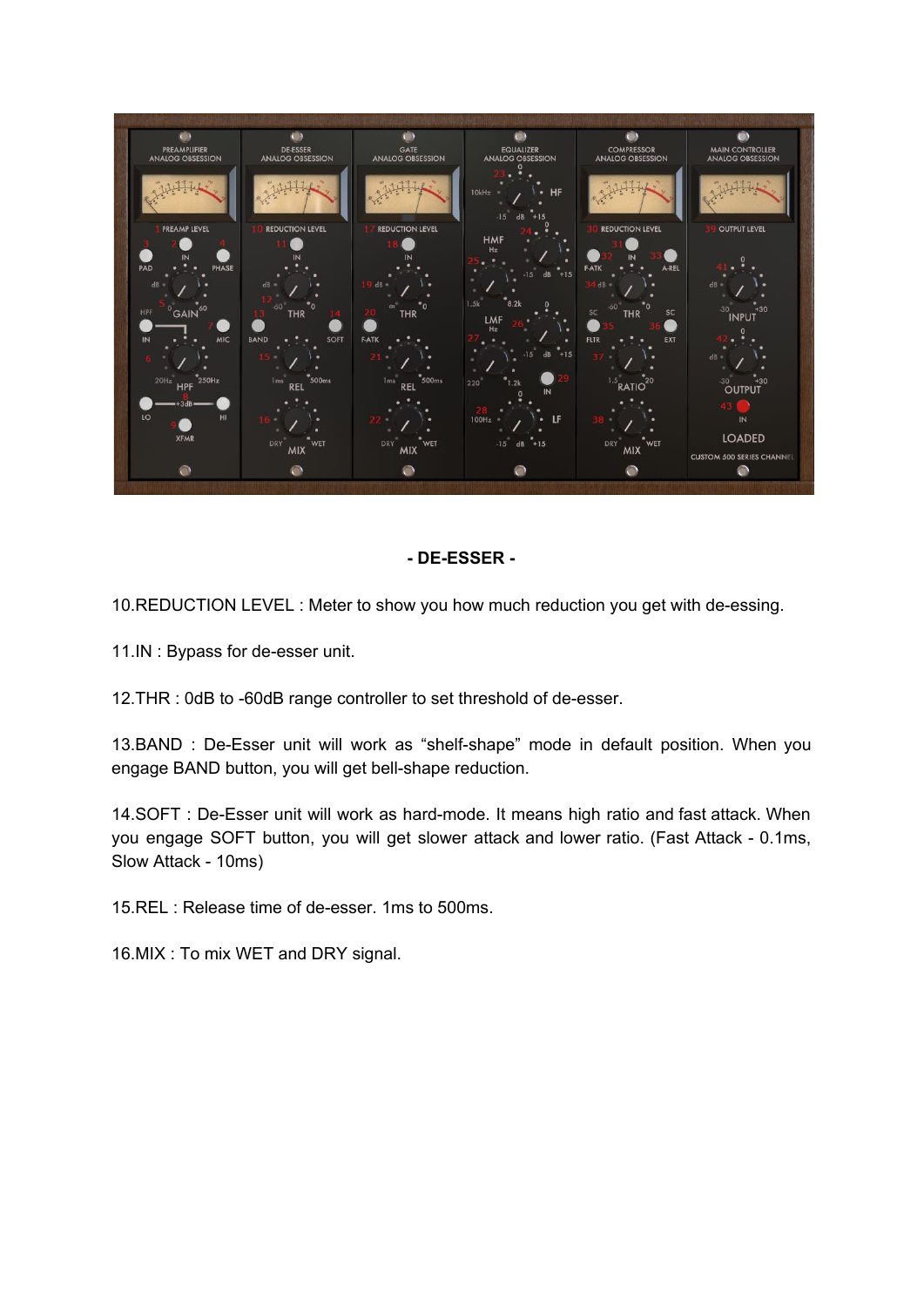

#### **- DE-ESSER -**

10.REDUCTION LEVEL : Meter to show you how much reduction you get with de-essing.

11.IN : Bypass for de-esser unit.

12.THR : 0dB to -60dB range controller to set threshold of de-esser.

13.BAND : De-Esser unit will work as "shelf-shape" mode in default position. When you engage BAND button, you will get bell-shape reduction.

14.SOFT : De-Esser unit will work as hard-mode. It means high ratio and fast attack. When you engage SOFT button, you will get slower attack and lower ratio. (Fast Attack - 0.1ms, Slow Attack - 10ms)

15.REL : Release time of de-esser. 1ms to 500ms.

16.MIX : To mix WET and DRY signal.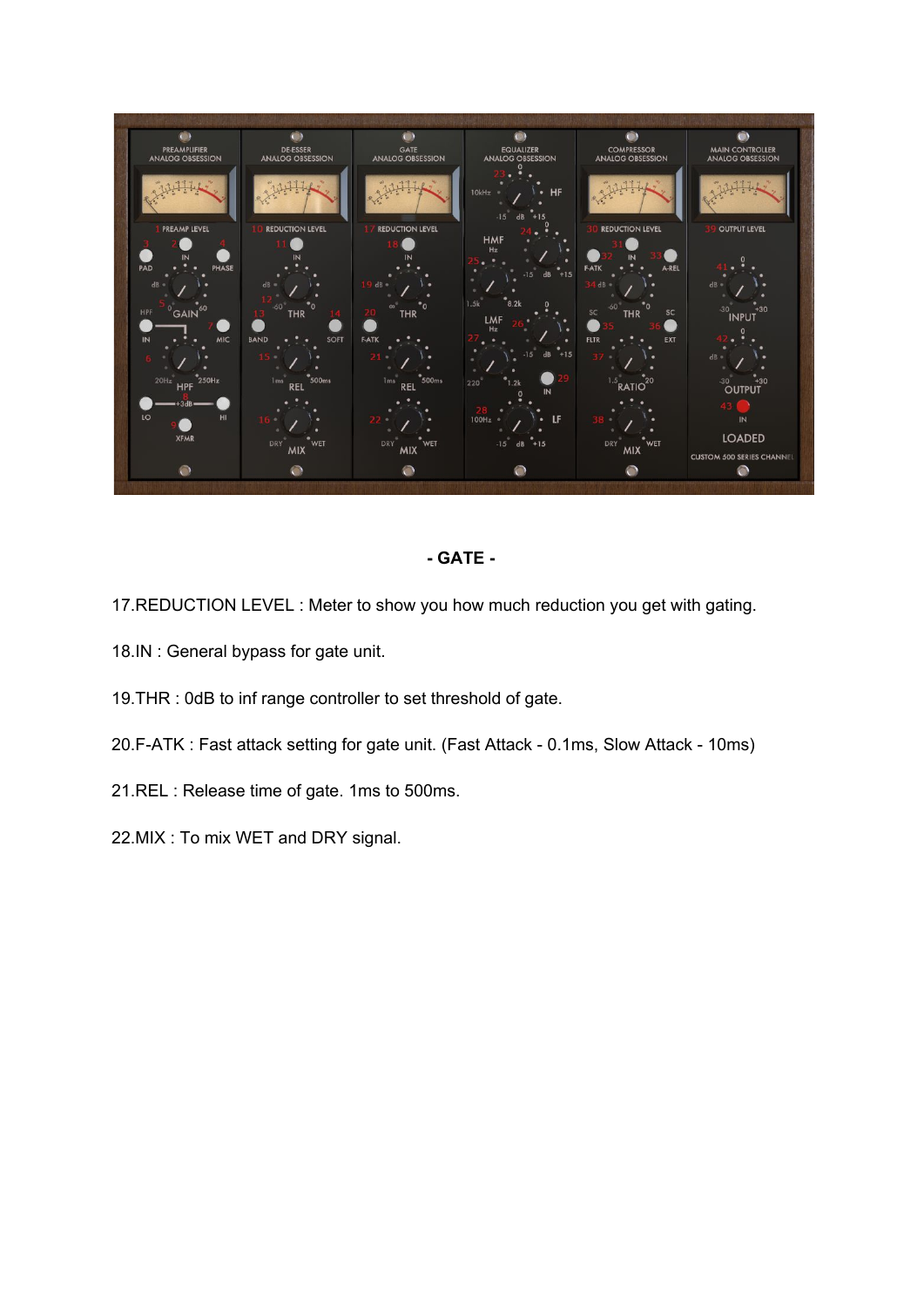

## **- GATE -**

17.REDUCTION LEVEL : Meter to show you how much reduction you get with gating.

- 18.IN : General bypass for gate unit.
- 19.THR : 0dB to inf range controller to set threshold of gate.
- 20.F-ATK : Fast attack setting for gate unit. (Fast Attack 0.1ms, Slow Attack 10ms)
- 21.REL : Release time of gate. 1ms to 500ms.
- 22.MIX : To mix WET and DRY signal.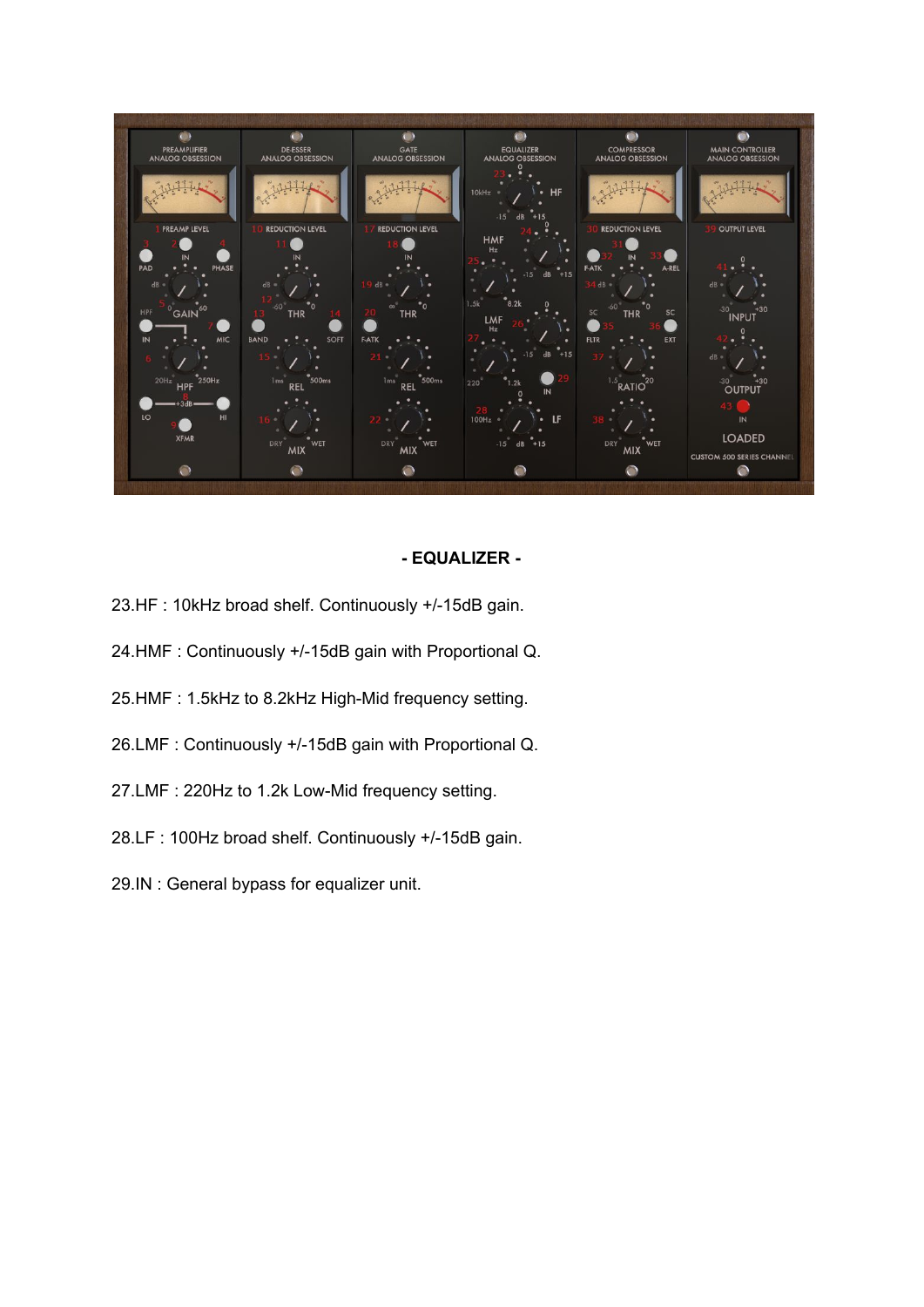

#### **- EQUALIZER -**

- 23.HF : 10kHz broad shelf. Continuously +/-15dB gain.
- 24.HMF : Continuously +/-15dB gain with Proportional Q.
- 25.HMF : 1.5kHz to 8.2kHz High-Mid frequency setting.
- 26.LMF : Continuously +/-15dB gain with Proportional Q.
- 27.LMF : 220Hz to 1.2k Low-Mid frequency setting.
- 28.LF : 100Hz broad shelf. Continuously +/-15dB gain.
- 29.IN : General bypass for equalizer unit.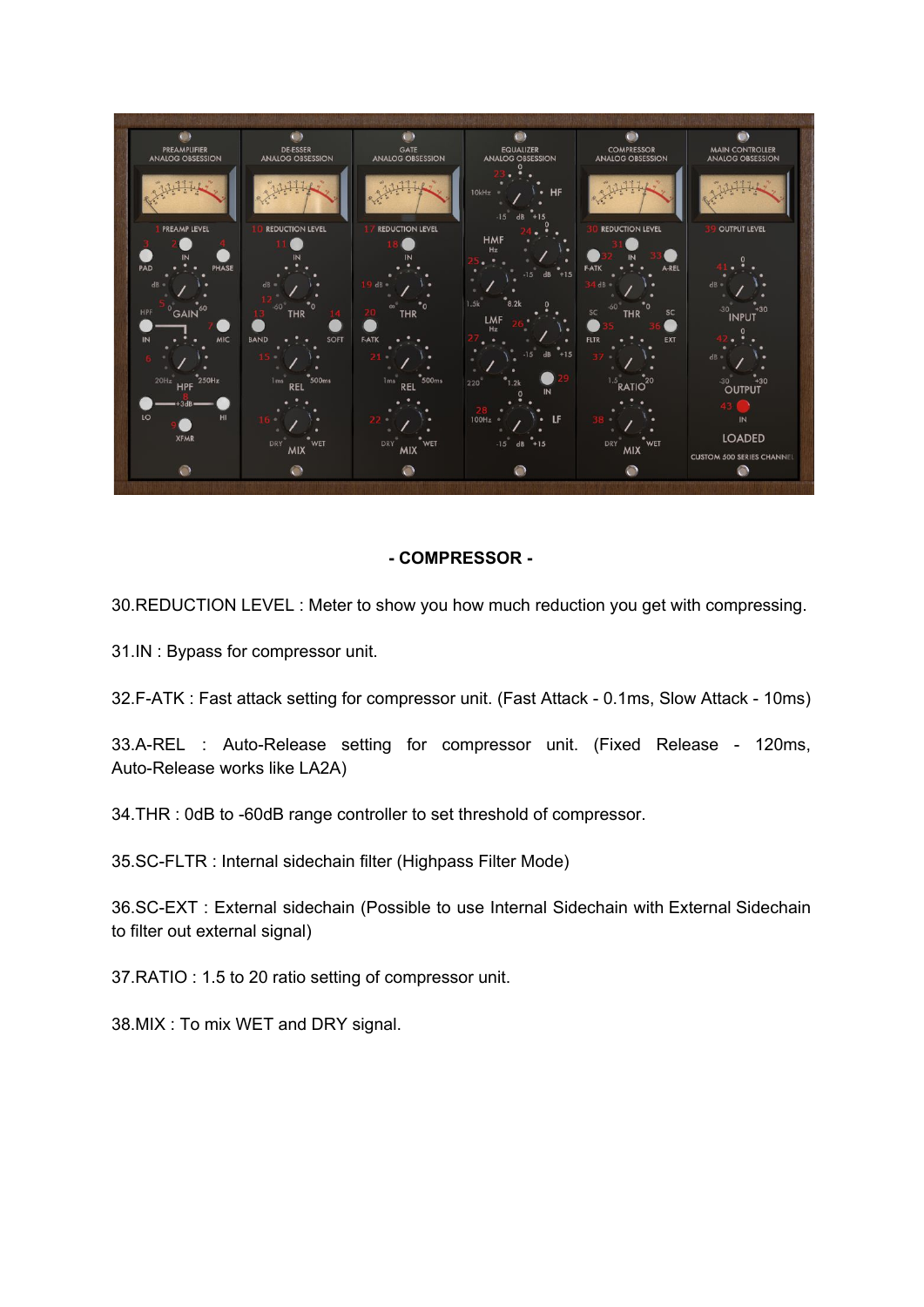

## **- COMPRESSOR -**

30.REDUCTION LEVEL : Meter to show you how much reduction you get with compressing.

31.IN : Bypass for compressor unit.

32.F-ATK : Fast attack setting for compressor unit. (Fast Attack - 0.1ms, Slow Attack - 10ms)

33.A-REL : Auto-Release setting for compressor unit. (Fixed Release - 120ms, Auto-Release works like LA2A)

34.THR : 0dB to -60dB range controller to set threshold of compressor.

35.SC-FLTR : Internal sidechain filter (Highpass Filter Mode)

36.SC-EXT : External sidechain (Possible to use Internal Sidechain with External Sidechain to filter out external signal)

37.RATIO : 1.5 to 20 ratio setting of compressor unit.

38.MIX : To mix WET and DRY signal.